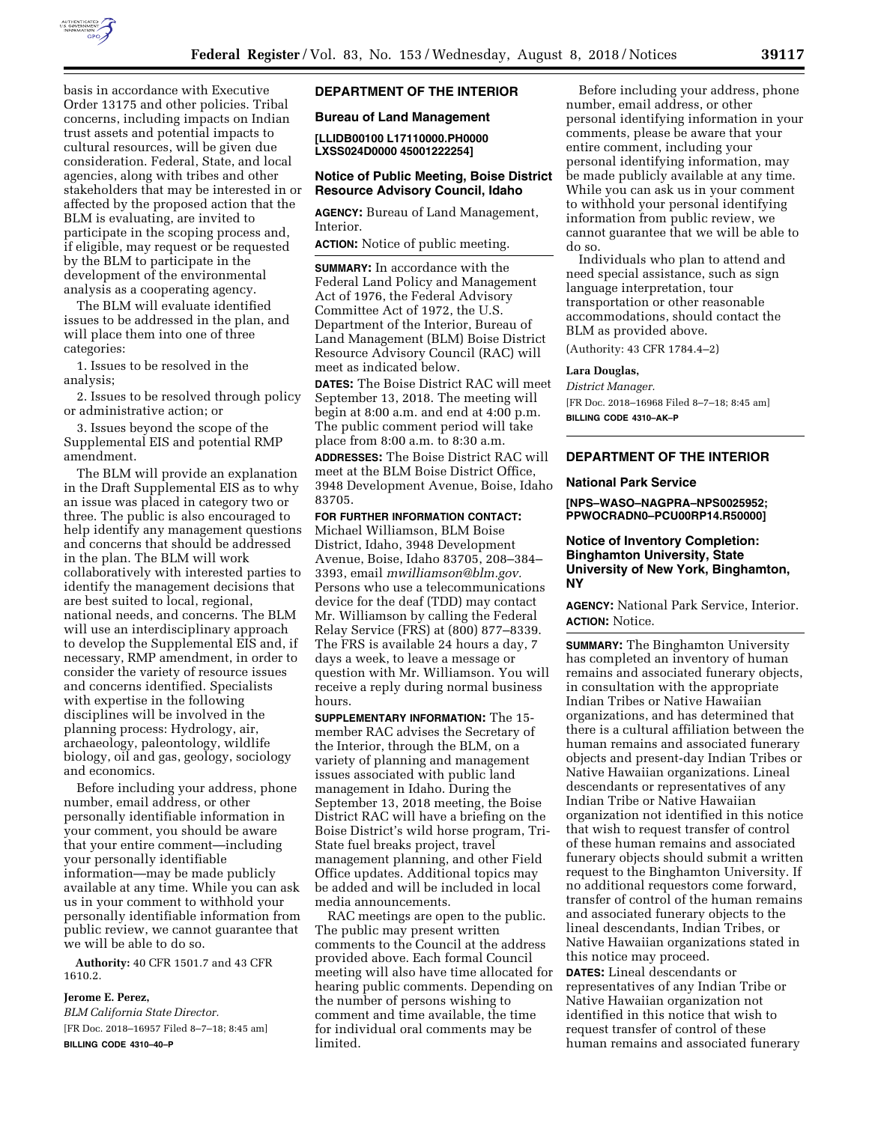

basis in accordance with Executive Order 13175 and other policies. Tribal concerns, including impacts on Indian trust assets and potential impacts to cultural resources, will be given due consideration. Federal, State, and local agencies, along with tribes and other stakeholders that may be interested in or affected by the proposed action that the BLM is evaluating, are invited to participate in the scoping process and, if eligible, may request or be requested by the BLM to participate in the development of the environmental analysis as a cooperating agency.

The BLM will evaluate identified issues to be addressed in the plan, and will place them into one of three categories:

1. Issues to be resolved in the analysis;

2. Issues to be resolved through policy or administrative action; or

3. Issues beyond the scope of the Supplemental EIS and potential RMP amendment.

The BLM will provide an explanation in the Draft Supplemental EIS as to why an issue was placed in category two or three. The public is also encouraged to help identify any management questions and concerns that should be addressed in the plan. The BLM will work collaboratively with interested parties to identify the management decisions that are best suited to local, regional, national needs, and concerns. The BLM will use an interdisciplinary approach to develop the Supplemental EIS and, if necessary, RMP amendment, in order to consider the variety of resource issues and concerns identified. Specialists with expertise in the following disciplines will be involved in the planning process: Hydrology, air, archaeology, paleontology, wildlife biology, oil and gas, geology, sociology and economics.

Before including your address, phone number, email address, or other personally identifiable information in your comment, you should be aware that your entire comment—including your personally identifiable information—may be made publicly available at any time. While you can ask us in your comment to withhold your personally identifiable information from public review, we cannot guarantee that we will be able to do so.

**Authority:** 40 CFR 1501.7 and 43 CFR 1610.2.

# **Jerome E. Perez,**

*BLM California State Director.*  [FR Doc. 2018–16957 Filed 8–7–18; 8:45 am] **BILLING CODE 4310–40–P** 

## **DEPARTMENT OF THE INTERIOR**

### **Bureau of Land Management**

**[LLIDB00100 L17110000.PH0000 LXSS024D0000 45001222254]** 

## **Notice of Public Meeting, Boise District Resource Advisory Council, Idaho**

**AGENCY:** Bureau of Land Management, Interior.

**ACTION:** Notice of public meeting.

**SUMMARY:** In accordance with the Federal Land Policy and Management Act of 1976, the Federal Advisory Committee Act of 1972, the U.S. Department of the Interior, Bureau of Land Management (BLM) Boise District Resource Advisory Council (RAC) will meet as indicated below.

**DATES:** The Boise District RAC will meet September 13, 2018. The meeting will begin at 8:00 a.m. and end at 4:00 p.m. The public comment period will take place from 8:00 a.m. to 8:30 a.m.

**ADDRESSES:** The Boise District RAC will meet at the BLM Boise District Office, 3948 Development Avenue, Boise, Idaho 83705.

**FOR FURTHER INFORMATION CONTACT:**  Michael Williamson, BLM Boise District, Idaho, 3948 Development Avenue, Boise, Idaho 83705, 208–384– 3393, email *[mwilliamson@blm.gov.](mailto:mwilliamson@blm.gov)*  Persons who use a telecommunications device for the deaf (TDD) may contact Mr. Williamson by calling the Federal Relay Service (FRS) at (800) 877–8339. The FRS is available 24 hours a day, 7 days a week, to leave a message or question with Mr. Williamson. You will receive a reply during normal business hours.

**SUPPLEMENTARY INFORMATION:** The 15 member RAC advises the Secretary of the Interior, through the BLM, on a variety of planning and management issues associated with public land management in Idaho. During the September 13, 2018 meeting, the Boise District RAC will have a briefing on the Boise District's wild horse program, Tri-State fuel breaks project, travel management planning, and other Field Office updates. Additional topics may be added and will be included in local media announcements.

RAC meetings are open to the public. The public may present written comments to the Council at the address provided above. Each formal Council meeting will also have time allocated for hearing public comments. Depending on the number of persons wishing to comment and time available, the time for individual oral comments may be limited.

Before including your address, phone number, email address, or other personal identifying information in your comments, please be aware that your entire comment, including your personal identifying information, may be made publicly available at any time. While you can ask us in your comment to withhold your personal identifying information from public review, we cannot guarantee that we will be able to do so.

Individuals who plan to attend and need special assistance, such as sign language interpretation, tour transportation or other reasonable accommodations, should contact the BLM as provided above.

(Authority: 43 CFR 1784.4–2)

# **Lara Douglas,**

*District Manager.*  [FR Doc. 2018–16968 Filed 8–7–18; 8:45 am] **BILLING CODE 4310–AK–P** 

## **DEPARTMENT OF THE INTERIOR**

#### **National Park Service**

**[NPS–WASO–NAGPRA–NPS0025952; PPWOCRADN0–PCU00RP14.R50000]** 

## **Notice of Inventory Completion: Binghamton University, State University of New York, Binghamton, NY**

**AGENCY:** National Park Service, Interior. **ACTION:** Notice.

**SUMMARY:** The Binghamton University has completed an inventory of human remains and associated funerary objects, in consultation with the appropriate Indian Tribes or Native Hawaiian organizations, and has determined that there is a cultural affiliation between the human remains and associated funerary objects and present-day Indian Tribes or Native Hawaiian organizations. Lineal descendants or representatives of any Indian Tribe or Native Hawaiian organization not identified in this notice that wish to request transfer of control of these human remains and associated funerary objects should submit a written request to the Binghamton University. If no additional requestors come forward, transfer of control of the human remains and associated funerary objects to the lineal descendants, Indian Tribes, or Native Hawaiian organizations stated in this notice may proceed.

**DATES:** Lineal descendants or representatives of any Indian Tribe or Native Hawaiian organization not identified in this notice that wish to request transfer of control of these human remains and associated funerary